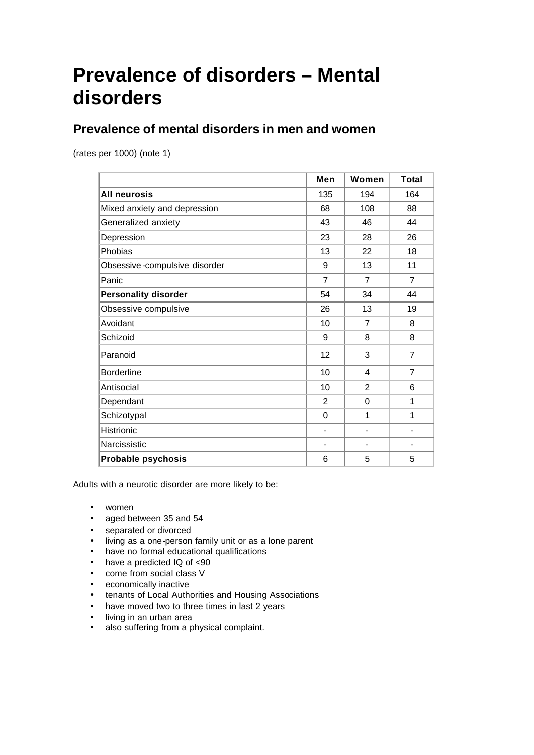# **Prevalence of disorders – Mental disorders**

## **Prevalence of mental disorders in men and women**

(rates per 1000) (note 1)

|                               | Men                      | Women          | <b>Total</b>   |
|-------------------------------|--------------------------|----------------|----------------|
| <b>All neurosis</b>           | 135                      | 194            | 164            |
| Mixed anxiety and depression  | 68                       | 108            | 88             |
| Generalized anxiety           | 43                       | 46             | 44             |
| Depression                    | 23                       | 28             | 26             |
| Phobias                       | 13                       | 22             | 18             |
| Obsessive-compulsive disorder | 9                        | 13             | 11             |
| Panic                         | $\overline{7}$           | $\overline{7}$ | $\overline{7}$ |
| <b>Personality disorder</b>   | 54                       | 34             | 44             |
| Obsessive compulsive          | 26                       | 13             | 19             |
| Avoidant                      | 10                       | $\overline{7}$ | 8              |
| Schizoid                      | 9                        | 8              | 8              |
| Paranoid                      | 12                       | 3              | $\overline{7}$ |
| <b>Borderline</b>             | 10                       | 4              | $\overline{7}$ |
| Antisocial                    | 10                       | $\overline{2}$ | 6              |
| Dependant                     | 2                        | 0              | 1              |
| Schizotypal                   | 0                        | 1              | 1              |
| Histrionic                    | ÷,                       |                |                |
| Narcissistic                  | $\overline{\phantom{a}}$ |                |                |
| <b>Probable psychosis</b>     | 6                        | 5              | 5              |

Adults with a neurotic disorder are more likely to be:

- women
- aged between 35 and 54
- separated or divorced
- living as a one-person family unit or as a lone parent
- have no formal educational qualifications
- have a predicted IQ of <90
- come from social class V
- economically inactive
- tenants of Local Authorities and Housing Associations
- have moved two to three times in last 2 years
- living in an urban area
- also suffering from a physical complaint.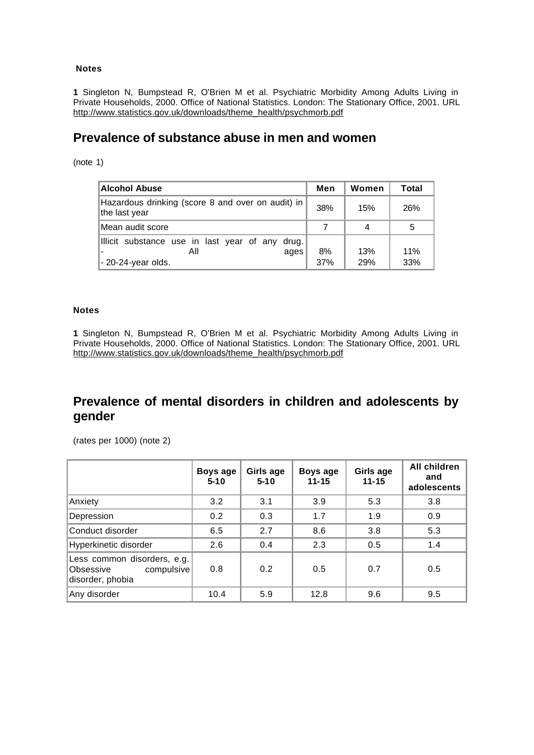#### **Notes**

**1** Singleton N, Bumpstead R, O'Brien M et al. Psychiatric Morbidity Among Adults Living in Private Households, 2000. Office of National Statistics. London: The Stationary Office, 2001. URL http://www.statistics.gov.uk/downloads/theme\_health/psychmorb.pdf

### **Prevalence of substance abuse in men and women**

(note 1)

| Alcohol Abuse                                                                        | Men       | Women      | <b>Total</b> |
|--------------------------------------------------------------------------------------|-----------|------------|--------------|
| Hazardous drinking (score 8 and over on audit) in  <br>the last year                 | 38%       | 15%        | 26%          |
| Mean audit score                                                                     |           |            | 5            |
| Illicit substance use in last year of any drug.<br>All<br>ages<br>- 20-24-year olds. | 8%<br>37% | 13%<br>29% | 11%<br>33%   |

#### **Notes**

**1** Singleton N, Bumpstead R, O'Brien M et al. Psychiatric Morbidity Among Adults Living in Private Households, 2000. Office of National Statistics. London: The Stationary Office, 2001. URL http://www.statistics.gov.uk/downloads/theme\_health/psychmorb.pdf

## **Prevalence of mental disorders in children and adolescents by gender**

(rates per 1000) (note 2)

|                                                                            | Boys age<br>$5 - 10$ | Girls age<br>$5 - 10$ | Boys age<br>$11 - 15$ | Girls age<br>$11 - 15$ | <b>All children</b><br>and<br>adolescents |
|----------------------------------------------------------------------------|----------------------|-----------------------|-----------------------|------------------------|-------------------------------------------|
| Anxiety                                                                    | 3.2                  | 3.1                   | 3.9                   | 5.3                    | 3.8                                       |
| Depression                                                                 | 0.2                  | 0.3                   | 1.7                   | 1.9                    | 0.9                                       |
| Conduct disorder                                                           | 6.5                  | 2.7                   | 8.6                   | 3.8                    | 5.3                                       |
| Hyperkinetic disorder                                                      | 2.6                  | 0.4                   | 2.3                   | 0.5                    | 1.4                                       |
| Less common disorders, e.g.<br>compulsive<br>Obsessive<br>disorder, phobia | 0.8                  | 0.2                   | 0.5                   | 0.7                    | 0.5                                       |
| Any disorder                                                               | 10.4                 | 5.9                   | 12.8                  | 9.6                    | 9.5                                       |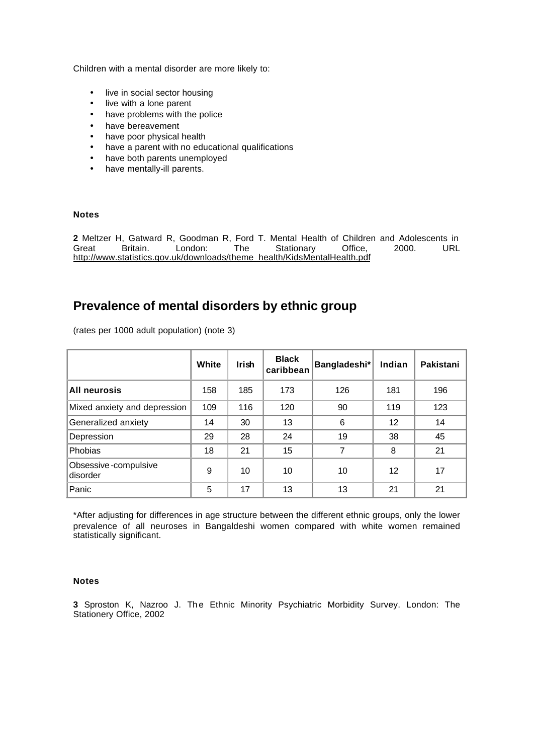Children with a mental disorder are more likely to:

- live in social sector housing
- live with a lone parent
- have problems with the police
- have bereavement
- have poor physical health
- have a parent with no educational qualifications
- have both parents unemployed
- have mentally-ill parents.

#### **Notes**

**2** Meltzer H, Gatward R, Goodman R, Ford T. Mental Health of Children and Adolescents in Great Britain. London: The Stationary Office, 2000. URL http://www.statistics.gov.uk/downloads/theme\_health/KidsMentalHealth.pdf

### **Prevalence of mental disorders by ethnic group**

(rates per 1000 adult population) (note 3)

|                                  | White | <b>Irish</b> | <b>Black</b><br>caribbean | Bangladeshi* | Indian | Pakistani |
|----------------------------------|-------|--------------|---------------------------|--------------|--------|-----------|
| All neurosis                     | 158   | 185          | 173                       | 126          | 181    | 196       |
| Mixed anxiety and depression     | 109   | 116          | 120                       | 90           | 119    | 123       |
| Generalized anxiety              | 14    | 30           | 13                        | 6            | 12     | 14        |
| Depression                       | 29    | 28           | 24                        | 19           | 38     | 45        |
| Phobias                          | 18    | 21           | 15                        | 7            | 8      | 21        |
| Obsessive-compulsive<br>disorder | 9     | 10           | 10                        | 10           | 12     | 17        |
| Panic                            | 5     | 17           | 13                        | 13           | 21     | 21        |

\*After adjusting for differences in age structure between the different ethnic groups, only the lower prevalence of all neuroses in Bangaldeshi women compared with white women remained statistically significant.

#### **Notes**

**3** Sproston K, Nazroo J. The Ethnic Minority Psychiatric Morbidity Survey. London: The Stationery Office, 2002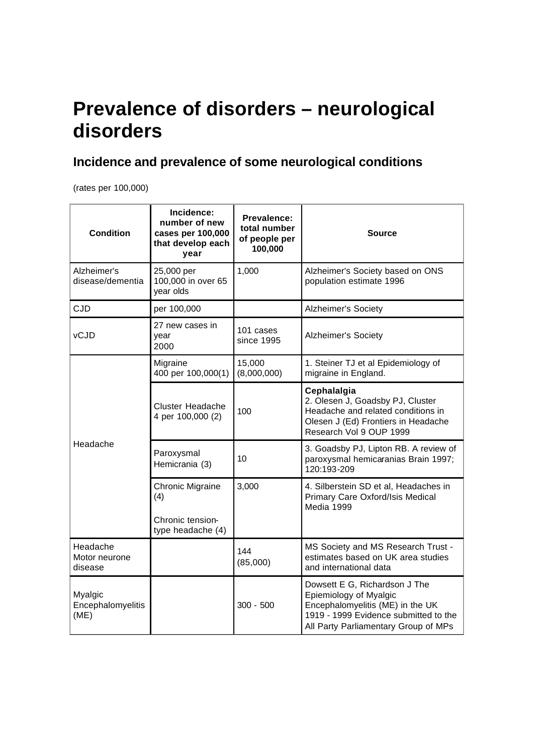## **Prevalence of disorders – neurological disorders**

## **Incidence and prevalence of some neurological conditions**

(rates per 100,000)

| <b>Condition</b>                     | Incidence:<br>number of new<br>cases per 100,000<br>that develop each<br>year | Prevalence:<br>total number<br>of people per<br>100,000 | Source                                                                                                                                                                       |
|--------------------------------------|-------------------------------------------------------------------------------|---------------------------------------------------------|------------------------------------------------------------------------------------------------------------------------------------------------------------------------------|
| Alzheimer's<br>disease/dementia      | 25,000 per<br>100,000 in over 65<br>year olds                                 | 1,000                                                   | Alzheimer's Society based on ONS<br>population estimate 1996                                                                                                                 |
| <b>CJD</b>                           | per 100,000                                                                   |                                                         | Alzheimer's Society                                                                                                                                                          |
| vCJD                                 | 27 new cases in<br>year<br>2000                                               | 101 cases<br>since 1995                                 | Alzheimer's Society                                                                                                                                                          |
|                                      | Migraine<br>400 per 100,000(1)                                                | 15,000<br>(8,000,000)                                   | 1. Steiner TJ et al Epidemiology of<br>migraine in England.                                                                                                                  |
|                                      | <b>Cluster Headache</b><br>4 per 100,000 (2)                                  | 100                                                     | Cephalalgia<br>2. Olesen J, Goadsby PJ, Cluster<br>Headache and related conditions in<br>Olesen J (Ed) Frontiers in Headache<br>Research Vol 9 OUP 1999                      |
| Headache                             | Paroxysmal<br>Hemicrania (3)                                                  | 10                                                      | 3. Goadsby PJ, Lipton RB. A review of<br>paroxysmal hemicaranias Brain 1997;<br>120:193-209                                                                                  |
|                                      | Chronic Migraine<br>(4)<br>Chronic tension-<br>type headache (4)              | 3,000                                                   | 4. Silberstein SD et al, Headaches in<br>Primary Care Oxford/Isis Medical<br>Media 1999                                                                                      |
| Headache<br>Motor neurone<br>disease |                                                                               | 144<br>(85,000)                                         | MS Society and MS Research Trust -<br>estimates based on UK area studies<br>and international data                                                                           |
| Myalgic<br>Encephalomyelitis<br>(ME) |                                                                               | $300 - 500$                                             | Dowsett E G, Richardson J The<br>Epiemiology of Myalgic<br>Encephalomyelitis (ME) in the UK<br>1919 - 1999 Evidence submitted to the<br>All Party Parliamentary Group of MPs |